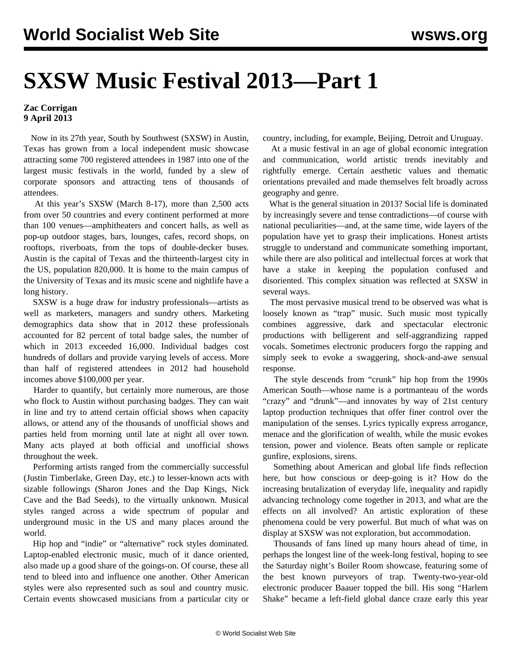## **SXSW Music Festival 2013—Part 1**

## **Zac Corrigan 9 April 2013**

 Now in its 27th year, South by Southwest (SXSW) in Austin, Texas has grown from a local independent music showcase attracting some 700 registered attendees in 1987 into one of the largest music festivals in the world, funded by a slew of corporate sponsors and attracting tens of thousands of attendees.

 At this year's SXSW (March 8-17), more than 2,500 acts from over 50 countries and every continent performed at more than 100 venues—amphitheaters and concert halls, as well as pop-up outdoor stages, bars, lounges, cafes, record shops, on rooftops, riverboats, from the tops of double-decker buses. Austin is the capital of Texas and the thirteenth-largest city in the US, population 820,000. It is home to the main campus of the University of Texas and its music scene and nightlife have a long history.

 SXSW is a huge draw for industry professionals—artists as well as marketers, managers and sundry others. Marketing demographics [data](http://sxsw.com/marketing/demographics) show that in 2012 these professionals accounted for 82 percent of total badge sales, the number of which in 2013 exceeded 16,000. Individual badges cost hundreds of dollars and provide varying levels of access. More than half of registered attendees in 2012 had household incomes above \$100,000 per year.

 Harder to quantify, but certainly more numerous, are those who flock to Austin without purchasing badges. They can wait in line and try to attend certain official shows when capacity allows, or attend any of the thousands of unofficial shows and parties held from morning until late at night all over town. Many acts played at both official and unofficial shows throughout the week.

 Performing artists ranged from the commercially successful (Justin Timberlake, Green Day, etc.) to lesser-known acts with sizable followings (Sharon Jones and the Dap Kings, Nick Cave and the Bad Seeds), to the virtually unknown. Musical styles ranged across a wide spectrum of popular and underground music in the US and many places around the world.

 Hip hop and "indie" or "alternative" rock styles dominated. Laptop-enabled electronic music, much of it dance oriented, also made up a good share of the goings-on. Of course, these all tend to bleed into and influence one another. Other American styles were also represented such as soul and country music. Certain events showcased musicians from a particular city or country, including, for example, Beijing, Detroit and Uruguay.

 At a music festival in an age of global economic integration and communication, world artistic trends inevitably and rightfully emerge. Certain aesthetic values and thematic orientations prevailed and made themselves felt broadly across geography and genre.

 What is the general situation in 2013? Social life is dominated by increasingly severe and tense contradictions—of course with national peculiarities—and, at the same time, wide layers of the population have yet to grasp their implications. Honest artists struggle to understand and communicate something important, while there are also political and intellectual forces at work that have a stake in keeping the population confused and disoriented. This complex situation was reflected at SXSW in several ways.

 The most pervasive musical trend to be observed was what is loosely known as "trap" music. Such music most typically combines aggressive, dark and spectacular electronic productions with belligerent and self-aggrandizing rapped vocals. Sometimes electronic producers forgo the rapping and simply seek to evoke a swaggering, shock-and-awe sensual response.

 The style descends from "crunk" hip hop from the 1990s American South—whose name is a portmanteau of the words "crazy" and "drunk"—and innovates by way of 21st century laptop production techniques that offer finer control over the manipulation of the senses. Lyrics typically express arrogance, menace and the glorification of wealth, while the music evokes tension, power and violence. Beats often sample or replicate gunfire, explosions, sirens.

 Something about American and global life finds reflection here, but how conscious or deep-going is it? How do the increasing brutalization of everyday life, inequality and rapidly advancing technology come together in 2013, and what are the effects on all involved? An artistic exploration of these phenomena could be very powerful. But much of what was on display at SXSW was not exploration, but accommodation.

 Thousands of fans lined up many hours ahead of time, in perhaps the longest line of the week-long festival, hoping to see the Saturday night's Boiler Room showcase, featuring some of the best known purveyors of trap. Twenty-two-year-old electronic producer Baauer topped the bill. His song ["Harlem](http://www.youtube.com/watch?v=Bk1_DbbzSdY) [Shake](http://www.youtube.com/watch?v=Bk1_DbbzSdY)" became a left-field global dance craze early this year